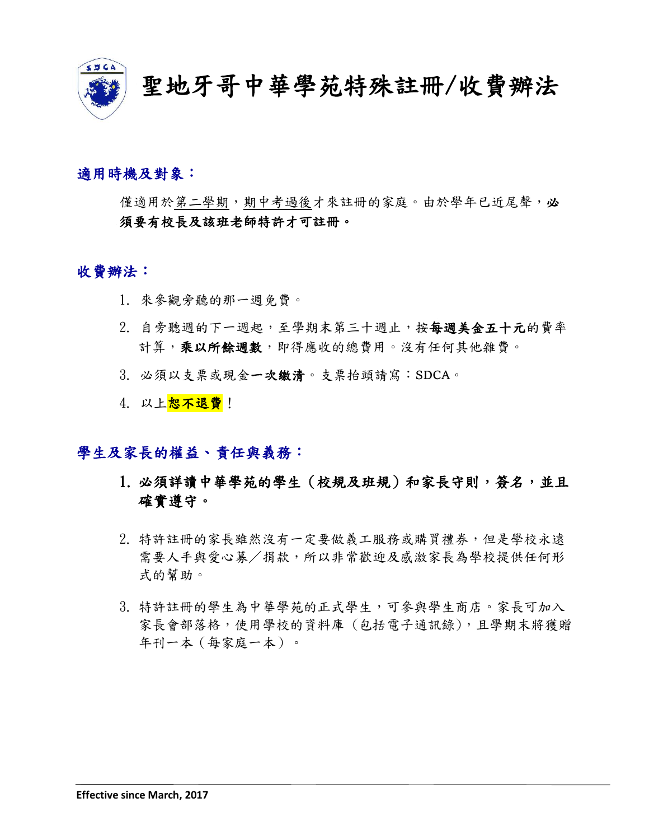

# 聖地牙哥中華學苑特殊註冊/收費辦法

### 適用時機及對象:

僅適用於第二學期,期中考過後才來註冊的家庭。由於學年已近尾聲,必 須要有校長及該班老師特許才可註冊。

#### 收費辦法:

- 1. 來參觀旁聽的那一週免費。
- 2. 自旁聽週的下一週起,至學期末第三十週止,按每週美金五十元的費率 計算,乘以所餘週數,即得應收的總費用。沒有任何其他雜費。
- 3. 必須以支票或現金一次繳清。支票抬頭請寫:SDCA。
- 4. 以上<mark>恕不退費</mark>!

#### 學生及家長的權益、責任與義務:

- 1. 必須詳讀中華學苑的學生(校規及班規)和家長守則,簽名,並且 確實遵守。
- 2. 特許註冊的家長雖然沒有一定要做義工服務或購買禮券,但是學校永遠 需要人手與愛心募/捐款,所以非常歡迎及感激家長為學校提供任何形 式的幫助。
- 3. 特許註冊的學生為中華學苑的正式學生,可參與學生商店。家長可加入 家長會部落格,使用學校的資料庫 (包括電子通訊錄),且學期末將獲贈 年刊一本(每家庭一本)。